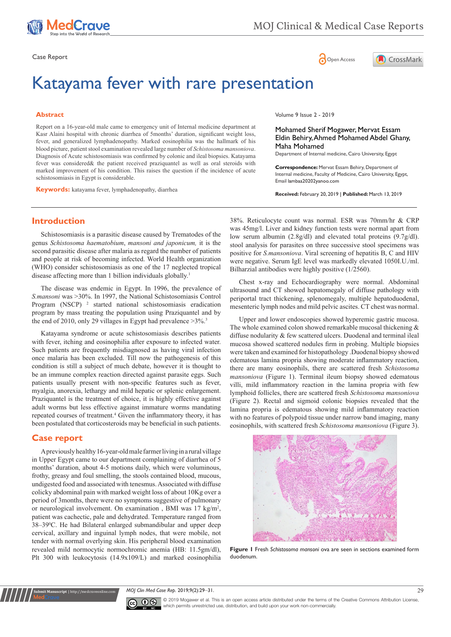





# Katayama fever with rare presentation

#### **Abstract**

Report on a 16-year-old male came to emergency unit of Internal medicine department at Kasr Alaini hospital with chronic diarrhea of 5months' duration, significant weight loss, fever, and generalized lymphadenopathy. Marked eosinophilia was the hallmark of his blood picture, patient stool examination revealed large number of *Schistosoma mansoniova*. Diagnosis of Acute schistosomiasis was confirmed by colonic and ileal biopsies. Katayama fever was considered& the patient received praziquantel as well as oral steroids with marked improvement of his condition. This raises the question if the incidence of acute schistosomiasis in Egypt is considerable.

**Keywords:** katayama fever, lymphadenopathy, diarrhea

Volume 9 Issue 2 - 2019

Mohamed Sherif Mogawer, Mervat Essam Eldin Behiry, Ahmed Mohamed Abdel Ghany, Maha Mohamed

Department of Internal medicine, Cairo University, Egypt

**Correspondence:** Mervat Essam Behiry, Department of Internal medicine, Faculty of Medicine, Cairo University, Egypt, Email lambaa20202vanoo.com

**Received:** February 20, 2019 | **Published:** March 13, 2019

#### **Introduction**

Schistosomiasis is a parasitic disease caused by Trematodes of the genus *Schistosoma haematobium*, *mansoni and japonicum,* it is the second parasitic disease after malaria as regard the number of patients and people at risk of becoming infected. World Health organization (WHO) consider schistosomiasis as one of the 17 neglected tropical disease affecting more than 1 billion individuals globally.<sup>1</sup>

The disease was endemic in Egypt. In 1996, the prevalence of *S.mansoni* was >30%. In 1997, the National Schistosomiasis Control Program (NSCP)<sup>2</sup> started national schistosomiasis eradication program by mass treating the population using Praziquantel and by the end of 2010, only 29 villages in Egypt had prevalence >3%.<sup>3</sup>

Katayama syndrome or acute schistosomiasis describes patients with fever, itching and eosinophilia after exposure to infected water. Such patients are frequently misdiagnosed as having viral infection once malaria has been excluded. Till now the pathogenesis of this condition is still a subject of much debate, however it is thought to be an immune complex reaction directed against parasite eggs. Such patients usually present with non-specific features such as fever, myalgia, anorexia, lethargy and mild hepatic or splenic enlargement. Praziquantel is the treatment of choice, it is highly effective against adult worms but less effective against immature worms mandating repeated courses of treatment.<sup>4</sup> Given the inflammatory theory, it has been postulated that corticosteroids may be beneficial in such patients.

#### **Case report**

**Submit Manuscript** | http://medcraveonline.com

A previously healthy 16-year-old male farmer living in a rural village in Upper Egypt came to our department complaining of diarrhea of 5 months' duration, about 4-5 motions daily, which were voluminous, frothy, greasy and foul smelling, the stools contained blood, mucous, undigested food and associated with tenesmus. Associated with diffuse colicky abdominal pain with marked weight loss of about 10Kg over a period of 3months, there were no symptoms suggestive of pulmonary or neurological involvement. On examination, BMI was 17 kg/m<sup>2</sup>, patient was cachectic, pale and dehydrated. Temperature ranged from 38–390 C. He had Bilateral enlarged submandibular and upper deep cervical, axillary and inguinal lymph nodes, that were mobile, not tender with normal overlying skin. His peripheral blood examination revealed mild normocytic normochromic anemia (HB: 11.5gm/dl), Plt 300 with leukocytosis (14.9x109/L) and marked eosinophilia

38%. Reticulocyte count was normal. ESR was 70mm/hr & CRP was 45mg/l. Liver and kidney function tests were normal apart from low serum albumin (2.8g/dl) and elevated total proteins (9.7g/dl). stool analysis for parasites on three successive stool specimens was positive for *S.mansoniova*. Viral screening of hepatitis B, C and HIV were negative. Serum IgE level was markedly elevated 1050I.U./ml. Bilharzial antibodies were highly positive (1/2560).

Chest x-ray and Echocardiography were normal. Abdominal ultrasound and CT showed hepatomegaly of diffuse pathology with periportal tract thickening, splenomegaly, multiple hepatoduodenal, mesenteric lymph nodes and mild pelvic ascites. CT chest was normal.

Upper and lower endoscopies showed hyperemic gastric mucosa. The whole examined colon showed remarkable mucosal thickening  $\&$ diffuse nodularity & few scattered ulcers. Duodenal and terminal ileal mucosa showed scattered nodules firm in probing. Multiple biopsies were taken and examined for histopathology .Duodenal biopsy showed edematous lamina propria showing moderate inflammatory reaction, there are many eosinophils, there are scattered fresh *Schistosoma mansoniova* (Figure 1). Terminal ileum biopsy showed edematous villi, mild inflammatory reaction in the lamina propria with few lymphoid follicles, there are scattered fresh *Schistosoma mansoniova* (Figure 2). Rectal and sigmoid colonic biopsies revealed that the lamina propria is edematous showing mild inflammatory reaction with no features of polypoid tissue under narrow band imaging, many eosinophils, with scattered fresh *Schistosoma mansoniova* (Figure 3).



**Figure 1** Fresh *Schistosoma mansoni* ova are seen in sections examined form duodenum.

*MOJ Clin Med Case Rep.* 2019;9(2):29‒31. 29



© 2019 Mogawer et al. This is an open access article distributed under the terms of the [Creative Commons Attribution License](https://creativecommons.org/licenses/by-nc/4.0/), which permits unrestricted use, distribution, and build upon your work non-commercially.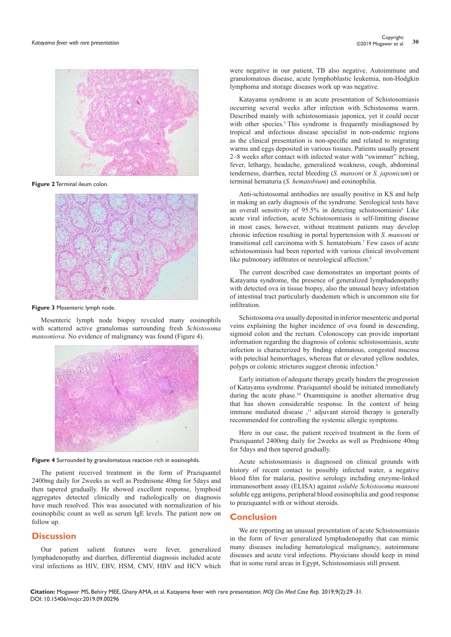

**Figure 2** Terminal ileum colon.



**Figure 3** Mesenteric lymph node.

Mesenteric lymph node biopsy revealed many eosinophils with scattered active granulomas surrounding fresh *Schistosoma mansoniova*. No evidence of malignancy was found (Figure 4).



**Figure 4** Surrounded by granulomatous reaction rich in eosinophils.

The patient received treatment in the form of Praziquantel 2400mg daily for 2weeks as well as Prednisone 40mg for 5days and then tapered gradually. He showed excellent response, lymphoid aggregates detected clinically and radiologically on diagnosis have much resolved. This was associated with normalization of his eosinophilic count as well as serum IgE levels. The patient now on follow up.

#### **Discussion**

Our patient salient features were fever, generalized lymphadenopathy and diarrhea, differential diagnosis included acute viral infections as HIV, EBV, HSM, CMV, HBV and HCV which were negative in our patient, TB also negative. Autoimmune and granulomatous disease, acute lymphoblastic leukemia, non-Hodgkin lymphoma and storage diseases work up was negative.

Katayama syndrome is an acute presentation of Schistosomiasis occurring several weeks after infection with Schistosoma warm. Described mainly with [schistosomiasis japonica](https://medical-dictionary.thefreedictionary.com/schistosomiasis+japonica), yet it could occur with other species.<sup>5</sup> This syndrome is frequently misdiagnosed by tropical and infectious disease specialist in non-endemic regions as the clinical presentation is non-specific and related to migrating warms and eggs deposited in various tissues. Patients usually present 2–8 weeks after contact with infected water with "swimmer" itching, fever, lethargy, headache, generalized weakness, cough, abdominal tenderness, diarrhea, rectal bleeding (*S. mansoni* or *S. japonicum*) or terminal hematuria (*S. hematobium*) and eosinophilia.

Anti-schistosomal antibodies are usually positive in KS and help in making an early diagnosis of the syndrome. Serological tests have an overall sensitivity of 95.5% in detecting schistosomiasis<sup>6</sup> Like acute viral infection, acute Schistosomiasis is self-limiting disease in most cases, however, without treatment patients may develop chronic infection resulting in portal hypertension with *S. mansoni* or transitional cell carcinoma with S. hematobium.7 Few cases of acute schistosomiasis had been reported with various clinical involvement like pulmonary infiltrates or neurological affection.<sup>8</sup>

The current described case demonstrates an important points of Katayama syndrome, the presence of generalized lymphadenopathy with detected ova in tissue biopsy, also the unusual heavy infestation of intestinal tract particularly duodenum which is uncommon site for infiltration.

Schistosoma ova usually deposited in inferior mesenteric and portal veins explaining the higher incidence of ova found in descending, sigmoid colon and the rectum. Colonoscopy can provide important information regarding the diagnosis of colonic schistosomiasis, acute infection is characterized by finding edematous, congested mucosa with petechial hemorrhages, whereas flat or elevated yellow nodules, polyps or colonic strictures suggest chronic infection.<sup>9</sup>

Early initiation of adequate therapy greatly hinders the progression of Katayama syndrome. Praziquantel should be initiated immediately during the acute phase.10 Oxamniquine is another alternative drug that has shown considerable response. In the context of being immune mediated disease ,<sup>11</sup> adjuvant steroid therapy is generally recommended for controlling the systemic allergic symptoms.

Here in our case, the patient received treatment in the form of Praziquantel 2400mg daily for 2weeks as well as Prednisone 40mg for 5days and then tapered gradually.

Acute schistosomiasis is diagnosed on clinical grounds with history of recent contact to possibly infected water, a negative blood film for malaria, positive serology including enzyme-linked immunosorbent assay (ELISA) against *soluble Schistosoma mansoni* soluble egg antigens, peripheral blood eosinophilia and good response to praziquantel with or without steroids.

#### **Conclusion**

We are reporting an unusual presentation of acute Schistosomiasis in the form of fever generalized lymphadenopathy that can mimic many diseases including hematological malignancy, autoimmune diseases and acute viral infections. Physicians should keep in mind that in some rural areas in Egypt, Schistosomiasis still present.